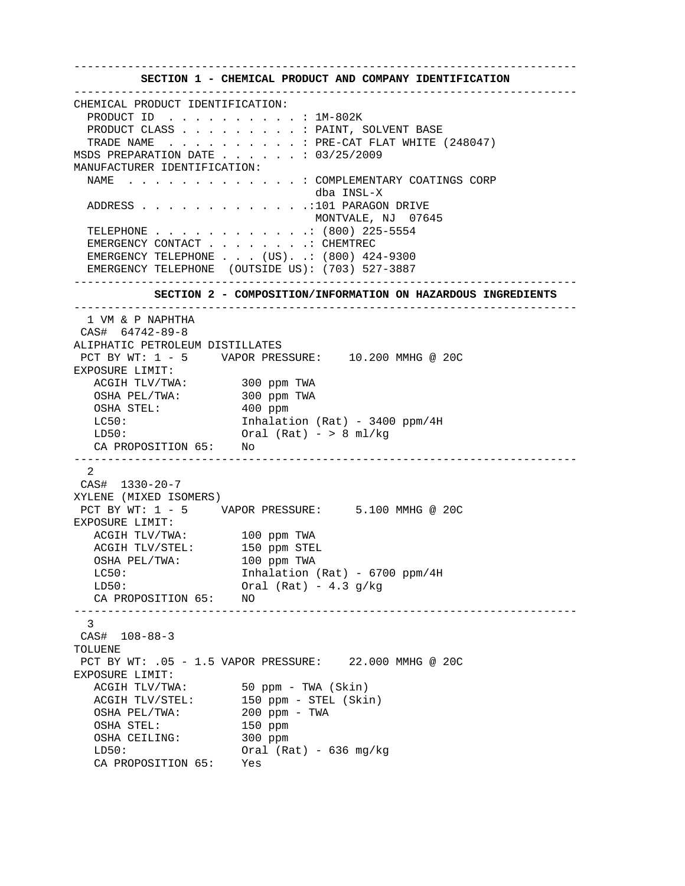**SECTION 1 - CHEMICAL PRODUCT AND COMPANY IDENTIFICATION**  --------------------------------------------------------------------------- CHEMICAL PRODUCT IDENTIFICATION: PRODUCT ID . . . . . . . . . . : 1M-802K PRODUCT CLASS . . . . . . . . . . PAINT, SOLVENT BASE TRADE NAME  $\ldots$  . . . . . . . . FRE-CAT FLAT WHITE (248047) MSDS PREPARATION DATE . . . . . . : 03/25/2009 MANUFACTURER IDENTIFICATION: NAME . . . . . . . . . . . . . : COMPLEMENTARY COATINGS CORP dba INSL-X ADDRESS . . . . . . . . . . . . .:101 PARAGON DRIVE MONTVALE, NJ 07645 TELEPHONE . . . . . . . . . . . .: (800) 225-5554 EMERGENCY CONTACT . . . . . . . . CHEMTREC EMERGENCY TELEPHONE . . . (US). .: (800) 424-9300 EMERGENCY TELEPHONE (OUTSIDE US): (703) 527-3887 ---------------------------------------------------------------------------  **SECTION 2 - COMPOSITION/INFORMATION ON HAZARDOUS INGREDIENTS**  --------------------------------------------------------------------------- 1 VM & P NAPHTHA CAS# 64742-89-8 ALIPHATIC PETROLEUM DISTILLATES PCT BY WT: 1 - 5 VAPOR PRESSURE: 10.200 MMHG @ 20C EXPOSURE LIMIT: ACGIH TLV/TWA: 300 ppm TWA OSHA PEL/TWA: 300 ppm TWA OSHA STEL: 400 ppm LC50: Inhalation (Rat) - 3400 ppm/4H  $LD50:$  Oral (Rat) - > 8 ml/kg CA PROPOSITION 65: No --------------------------------------------------------------------------- 2 CAS# 1330-20-7 XYLENE (MIXED ISOMERS) PCT BY WT: 1 - 5 VAPOR PRESSURE: 5.100 MMHG @ 20C EXPOSURE LIMIT: ACGIH TLV/TWA: 100 ppm TWA<br>ACGIH TLV/STEL: 150 ppm STEL ACGIH TLV/STEL: OSHA PEL/TWA: 100 ppm TWA LC50: Inhalation (Rat) - 6700 ppm/4H  $LD50:$  Oral (Rat) - 4.3 g/kg CA PROPOSITION 65: NO --------------------------------------------------------------------------- 3 CAS# 108-88-3 TOLUENE PCT BY WT: .05 - 1.5 VAPOR PRESSURE: 22.000 MMHG @ 20C EXPOSURE LIMIT: ACGIH TLV/TWA: 50 ppm - TWA (Skin) ACGIH TLV/STEL: 150 ppm - STEL (Skin) OSHA PEL/TWA: 200 ppm - TWA<br>OSHA STEL: 150 ppm OSHA STEL: 150 ppm<br>
OSHA CEILING: 300 ppm OSHA CEILING: LD50: Oral (Rat) - 636 mg/kg CA PROPOSITION 65: Yes

---------------------------------------------------------------------------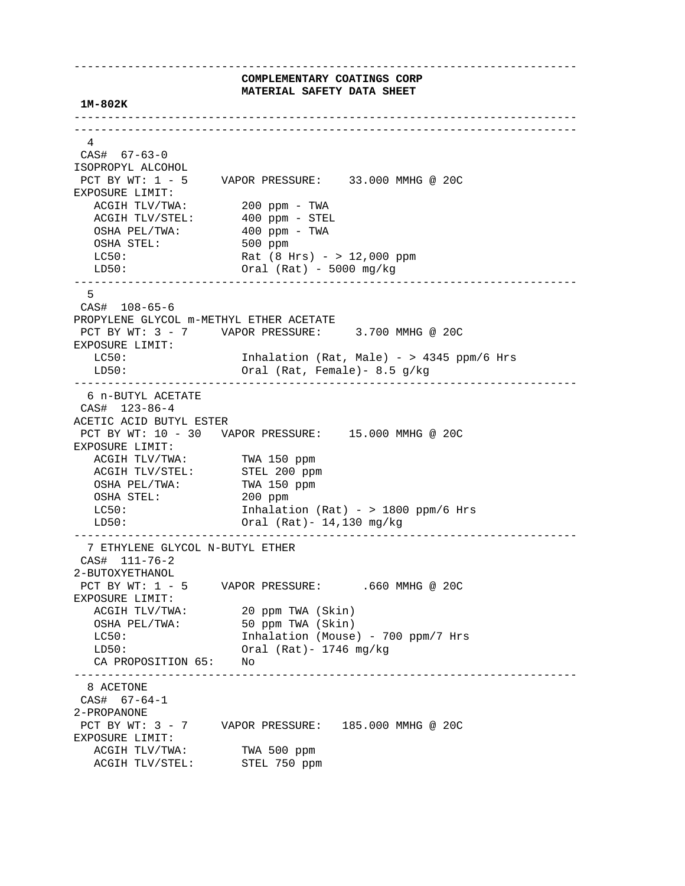---------------------------------------------------------------------------  **COMPLEMENTARY COATINGS CORP MATERIAL SAFETY DATA SHEET 1M-802K**  --------------------------------------------------------------------------- --------------------------------------------------------------------------- 4 CAS# 67-63-0 ISOPROPYL ALCOHOL PCT BY WT: 1 - 5 VAPOR PRESSURE: 33.000 MMHG @ 20C EXPOSURE LIMIT: ACGIH TLV/TWA: 200 ppm - TWA ACGIH ILV/IWA<br>ACGIH TLV/STEL: 400 ppm - STEL<br>100 ppm - TWA OSHA PEL/TWA: 400 ppm - TWA OSHA STEL: 500 ppm LC50: Rat (8 Hrs) - > 12,000 ppm LD50: Oral (Rat) - 5000 mg/kg --------------------------------------------------------------------------- 5 CAS# 108-65-6 PROPYLENE GLYCOL m-METHYL ETHER ACETATE PCT BY WT: 3 - 7 VAPOR PRESSURE: 3.700 MMHG @ 20C EXPOSURE LIMIT: LC50: Inhalation (Rat, Male) - > 4345 ppm/6 Hrs LD50: Oral (Rat, Female)- 8.5 g/kg --------------------------------------------------------------------------- 6 n-BUTYL ACETATE CAS# 123-86-4 ACETIC ACID BUTYL ESTER PCT BY WT: 10 - 30 VAPOR PRESSURE: 15.000 MMHG @ 20C EXPOSURE LIMIT: ACGIH TLV/TWA: TWA 150 ppm<br>ACGIH TLV/STEL: STEL 200 ppm ACGIH IDV/ING<br>ACGIH TLV/STEL: STEL 200 ppm<br>OSHA PEL/TWA: TWA 150 ppm OSHA PEL/TWA: OSHA STEL: 200 ppm LC50: Inhalation (Rat) - > 1800 ppm/6 Hrs LD50: Oral (Rat)- 14,130 mg/kg --------------------------------------------------------------------------- 7 ETHYLENE GLYCOL N-BUTYL ETHER CAS# 111-76-2 2-BUTOXYETHANOL<br>PCT BY WT: 1 - 5 VAPOR PRESSURE: .660 MMHG @ 20C EXPOSURE LIMIT: ACGIH TLV/TWA: 20 ppm TWA (Skin) OSHA PEL/TWA: 50 ppm TWA (Skin) LC50: Inhalation (Mouse) - 700 ppm/7 Hrs LD50: Oral (Rat)- 1746 mg/kg CA PROPOSITION 65: No --------------------------------------------------------------------------- 8 ACETONE CAS# 67-64-1 2-PROPANONE PCT BY WT: 3 - 7 VAPOR PRESSURE: 185.000 MMHG @ 20C EXPOSURE LIMIT: ACGIH TLV/TWA: TWA 500 ppm<br>ACGIH TLV/STEL: STEL 750 ppm ACGIH TLV/STEL: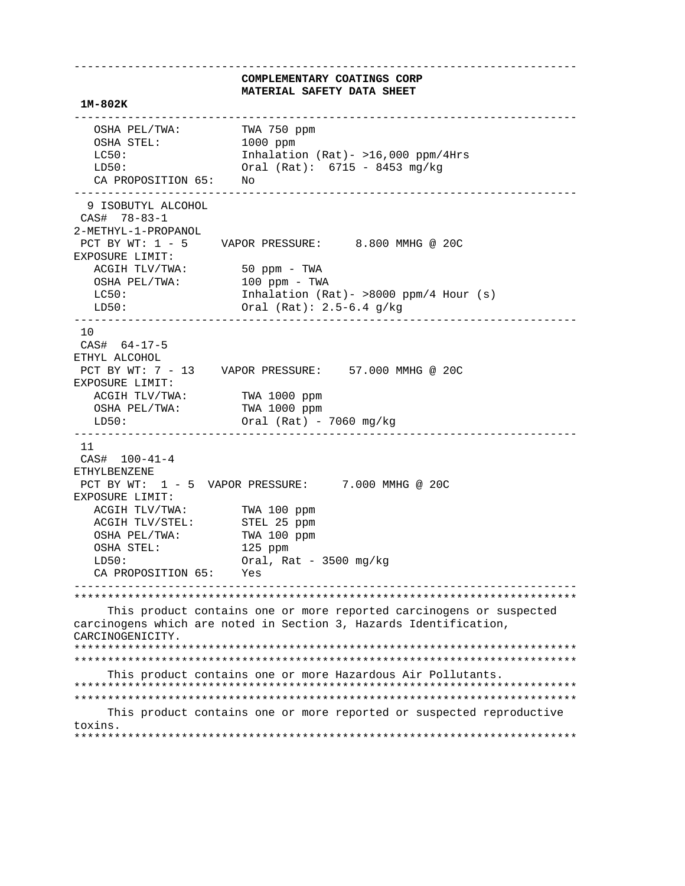**COMPLEMENTARY COATINGS CORP MATERIAL SAFETY DATA SHEET 1M-802K**  --------------------------------------------------------------------------- OSHA PEL/TWA: TWA 750 ppm OSHA STEL: 1000 ppm<br>
LC50: 1nhalatio Inhalation (Rat)-  $>16,000$  ppm/4Hrs LD50: Oral (Rat): 6715 - 8453 mg/kg CA PROPOSITION 65: No --------------------------------------------------------------------------- 9 ISOBUTYL ALCOHOL CAS# 78-83-1 2-METHYL-1-PROPANOL PCT BY WT: 1 - 5 VAPOR PRESSURE: 8.800 MMHG @ 20C EXPOSURE LIMIT: ACGIH TLV/TWA: 50 ppm - TWA OSHA PEL/TWA: 100 ppm - TWA LC50: Inhalation (Rat) - >8000 ppm/4 Hour (s) LD50: Oral (Rat): 2.5-6.4 g/kg --------------------------------------------------------------------------- 10 CAS# 64-17-5 ETHYL ALCOHOL PCT BY WT: 7 - 13 VAPOR PRESSURE: 57.000 MMHG @ 20C EXPOSURE LIMIT: ACGIH TLV/TWA: TWA 1000 ppm<br>
OSHA PEL/TWA: TWA 1000 ppm OSHA PEL/TWA: LD50: Oral (Rat) - 7060 mg/kg --------------------------------------------------------------------------- 11 CAS# 100-41-4 ETHYLBENZENE PCT BY WT: 1 - 5 VAPOR PRESSURE: 7.000 MMHG @ 20C EXPOSURE LIMIT: ACGIH TLV/TWA: TWA 100 ppm ACGIH TLV/STEL: STEL 25 ppm OSHA PEL/TWA: TWA 100 ppm<br>
OSHA STEL: 125 ppm OSHA STEL: LD50: Oral, Rat - 3500 mg/kg CA PROPOSITION 65: Yes --------------------------------------------------------------------------- \*\*\*\*\*\*\*\*\*\*\*\*\*\*\*\*\*\*\*\*\*\*\*\*\*\*\*\*\*\*\*\*\*\*\*\*\*\*\*\*\*\*\*\*\*\*\*\*\*\*\*\*\*\*\*\*\*\*\*\*\*\*\*\*\*\*\*\*\*\*\*\*\*\*\* This product contains one or more reported carcinogens or suspected carcinogens which are noted in Section 3, Hazards Identification, CARCINOGENICITY. \*\*\*\*\*\*\*\*\*\*\*\*\*\*\*\*\*\*\*\*\*\*\*\*\*\*\*\*\*\*\*\*\*\*\*\*\*\*\*\*\*\*\*\*\*\*\*\*\*\*\*\*\*\*\*\*\*\*\*\*\*\*\*\*\*\*\*\*\*\*\*\*\*\*\* \*\*\*\*\*\*\*\*\*\*\*\*\*\*\*\*\*\*\*\*\*\*\*\*\*\*\*\*\*\*\*\*\*\*\*\*\*\*\*\*\*\*\*\*\*\*\*\*\*\*\*\*\*\*\*\*\*\*\*\*\*\*\*\*\*\*\*\*\*\*\*\*\*\*\* This product contains one or more Hazardous Air Pollutants. \*\*\*\*\*\*\*\*\*\*\*\*\*\*\*\*\*\*\*\*\*\*\*\*\*\*\*\*\*\*\*\*\*\*\*\*\*\*\*\*\*\*\*\*\*\*\*\*\*\*\*\*\*\*\*\*\*\*\*\*\*\*\*\*\*\*\*\*\*\*\*\*\*\*\* \*\*\*\*\*\*\*\*\*\*\*\*\*\*\*\*\*\*\*\*\*\*\*\*\*\*\*\*\*\*\*\*\*\*\*\*\*\*\*\*\*\*\*\*\*\*\*\*\*\*\*\*\*\*\*\*\*\*\*\*\*\*\*\*\*\*\*\*\*\*\*\*\*\*\*

---------------------------------------------------------------------------

 This product contains one or more reported or suspected reproductive toxins. \*\*\*\*\*\*\*\*\*\*\*\*\*\*\*\*\*\*\*\*\*\*\*\*\*\*\*\*\*\*\*\*\*\*\*\*\*\*\*\*\*\*\*\*\*\*\*\*\*\*\*\*\*\*\*\*\*\*\*\*\*\*\*\*\*\*\*\*\*\*\*\*\*\*\*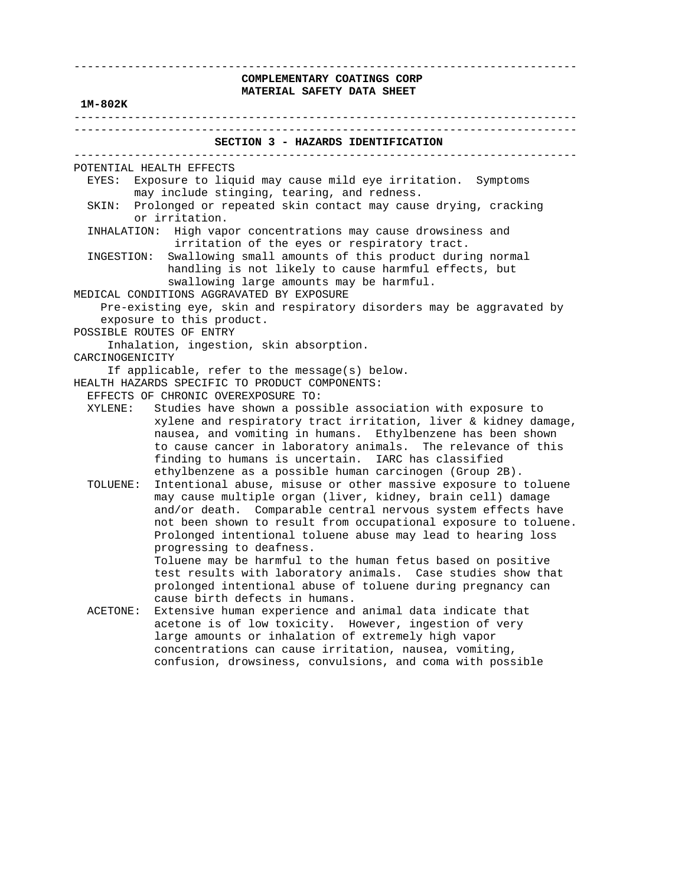#### **1M-802K**

 --------------------------------------------------------------------------- ---------------------------------------------------------------------------  **SECTION 3 - HAZARDS IDENTIFICATION**  --------------------------------------------------------------------------- POTENTIAL HEALTH EFFECTS EYES: Exposure to liquid may cause mild eye irritation. Symptoms may include stinging, tearing, and redness. SKIN: Prolonged or repeated skin contact may cause drying, cracking or irritation. INHALATION: High vapor concentrations may cause drowsiness and irritation of the eyes or respiratory tract. INGESTION: Swallowing small amounts of this product during normal handling is not likely to cause harmful effects, but swallowing large amounts may be harmful. MEDICAL CONDITIONS AGGRAVATED BY EXPOSURE Pre-existing eye, skin and respiratory disorders may be aggravated by exposure to this product. POSSIBLE ROUTES OF ENTRY Inhalation, ingestion, skin absorption. CARCINOGENICITY If applicable, refer to the message(s) below. HEALTH HAZARDS SPECIFIC TO PRODUCT COMPONENTS: EFFECTS OF CHRONIC OVEREXPOSURE TO: XYLENE: Studies have shown a possible association with exposure to xylene and respiratory tract irritation, liver & kidney damage, nausea, and vomiting in humans. Ethylbenzene has been shown to cause cancer in laboratory animals. The relevance of this finding to humans is uncertain. IARC has classified ethylbenzene as a possible human carcinogen (Group 2B). TOLUENE: Intentional abuse, misuse or other massive exposure to toluene may cause multiple organ (liver, kidney, brain cell) damage and/or death. Comparable central nervous system effects have not been shown to result from occupational exposure to toluene. Prolonged intentional toluene abuse may lead to hearing loss progressing to deafness. Toluene may be harmful to the human fetus based on positive test results with laboratory animals. Case studies show that prolonged intentional abuse of toluene during pregnancy can cause birth defects in humans. ACETONE: Extensive human experience and animal data indicate that acetone is of low toxicity. However, ingestion of very large amounts or inhalation of extremely high vapor concentrations can cause irritation, nausea, vomiting, confusion, drowsiness, convulsions, and coma with possible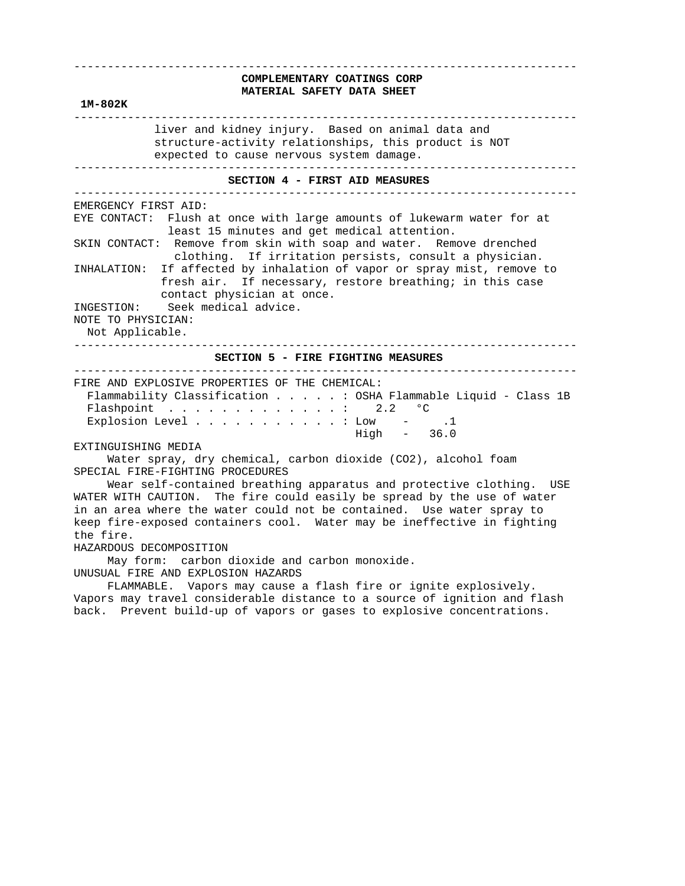# **COMPLEMENTARY COATINGS CORP MATERIAL SAFETY DATA SHEET**

---------------------------------------------------------------------------

 -------------------------------------------------------------------------- liver and kidney injury. Based on animal data and structure-activity relationships, this product is NOT expected to cause nervous system damage. ---------------------------------------------------------------------------  **SECTION 4 - FIRST AID MEASURES**  --------------------------------------------------------------------------- EMERGENCY FIRST AID: EYE CONTACT: Flush at once with large amounts of lukewarm water for at least 15 minutes and get medical attention. SKIN CONTACT: Remove from skin with soap and water. Remove drenched clothing. If irritation persists, consult a physician. INHALATION: If affected by inhalation of vapor or spray mist, remove to fresh air. If necessary, restore breathing; in this case contact physician at once. INGESTION: Seek medical advice. NOTE TO PHYSICIAN: Not Applicable. ---------------------------------------------------------------------------  **SECTION 5 - FIRE FIGHTING MEASURES** 

---------------------------------------------------------------------------

| FIRE AND EXPLOSIVE PROPERTIES OF THE CHEMICAL: |                                                                |
|------------------------------------------------|----------------------------------------------------------------|
|                                                | Flammability Classification : OSHA Flammable Liquid - Class 1B |
| Flashpoint 2.2 $^{\circ}$ C                    |                                                                |
| Explosion Level $\ldots$ : Low - .1            |                                                                |
|                                                | High - 36.0                                                    |

#### EXTINGUISHING MEDIA

 **1M-802K** 

 Water spray, dry chemical, carbon dioxide (CO2), alcohol foam SPECIAL FIRE-FIGHTING PROCEDURES

 Wear self-contained breathing apparatus and protective clothing. USE WATER WITH CAUTION. The fire could easily be spread by the use of water in an area where the water could not be contained. Use water spray to keep fire-exposed containers cool. Water may be ineffective in fighting the fire.

#### HAZARDOUS DECOMPOSITION

 May form: carbon dioxide and carbon monoxide. UNUSUAL FIRE AND EXPLOSION HAZARDS

 FLAMMABLE. Vapors may cause a flash fire or ignite explosively. Vapors may travel considerable distance to a source of ignition and flash back. Prevent build-up of vapors or gases to explosive concentrations.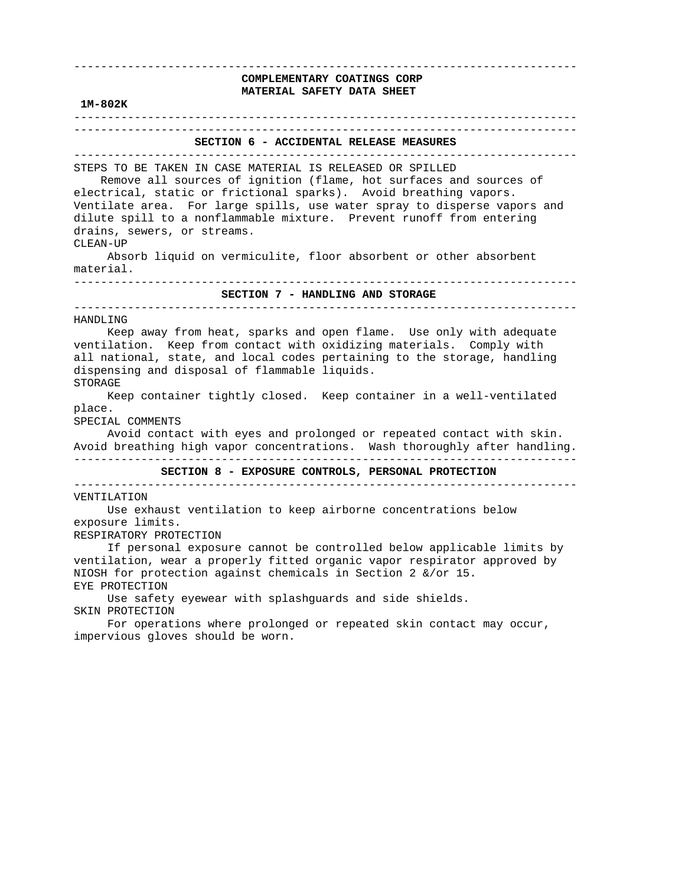# ---------------------------------------------------------------------------  **COMPLEMENTARY COATINGS CORP MATERIAL SAFETY DATA SHEET 1M-802K**  --------------------------------------------------------------------------- ---------------------------------------------------------------------------  **SECTION 6 - ACCIDENTAL RELEASE MEASURES**  --------------------------------------------------------------------------- STEPS TO BE TAKEN IN CASE MATERIAL IS RELEASED OR SPILLED Remove all sources of ignition (flame, hot surfaces and sources of electrical, static or frictional sparks). Avoid breathing vapors. Ventilate area. For large spills, use water spray to disperse vapors and dilute spill to a nonflammable mixture. Prevent runoff from entering drains, sewers, or streams. CLEAN-UP Absorb liquid on vermiculite, floor absorbent or other absorbent material. ---------------------------------------------------------------------------  **SECTION 7 - HANDLING AND STORAGE**  --------------------------------------------------------------------------- HANDLING Keep away from heat, sparks and open flame. Use only with adequate ventilation. Keep from contact with oxidizing materials. Comply with all national, state, and local codes pertaining to the storage, handling dispensing and disposal of flammable liquids. STORAGE Keep container tightly closed. Keep container in a well-ventilated place. SPECIAL COMMENTS Avoid contact with eyes and prolonged or repeated contact with skin. Avoid breathing high vapor concentrations. Wash thoroughly after handling. ---------------------------------------------------------------------------  **SECTION 8 - EXPOSURE CONTROLS, PERSONAL PROTECTION**  --------------------------------------------------------------------------- VENTILATION Use exhaust ventilation to keep airborne concentrations below exposure limits. RESPIRATORY PROTECTION If personal exposure cannot be controlled below applicable limits by ventilation, wear a properly fitted organic vapor respirator approved by NIOSH for protection against chemicals in Section 2 &/or 15. EYE PROTECTION Use safety eyewear with splashguards and side shields. SKIN PROTECTION For operations where prolonged or repeated skin contact may occur, impervious gloves should be worn.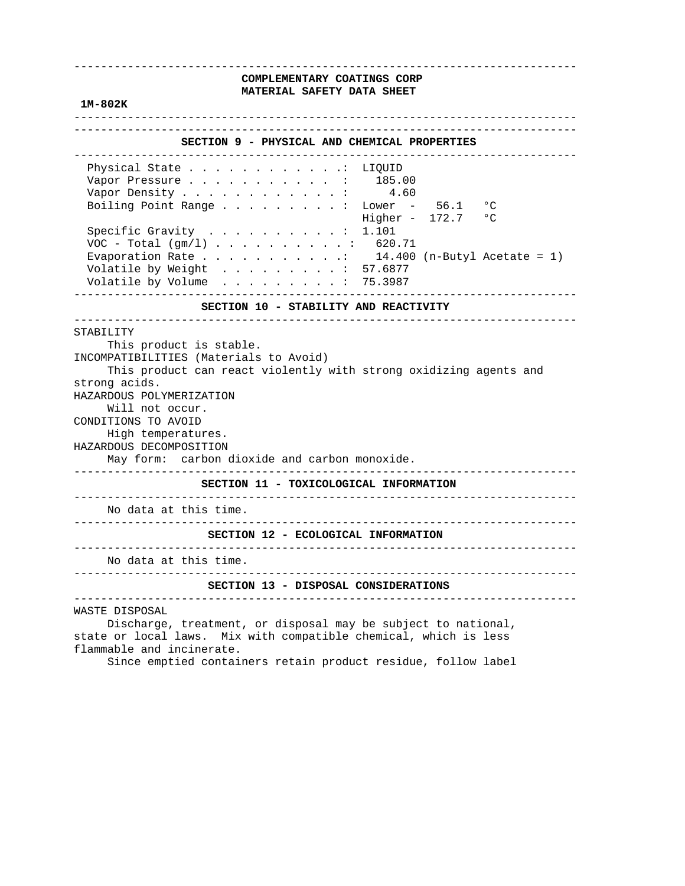#### **1M-802K**

---------------------------------------------------------------------------

# ---------------------------------------------------------------------------  **SECTION 9 - PHYSICAL AND CHEMICAL PROPERTIES**  --------------------------------------------------------------------------- Physical State . . . . . . . . . . . . LIQUID Vapor Pressure . . . . . . . . . . . : 185.00 Vapor Density  $\ldots$  . . . . . . . . . . 4.60 Boiling Point Range . . . . . . . . : Lower - 56.1 °C Higher -  $172.7$  °C Specific Gravity . . . . . . . . . . : 1.101 VOC - Total (gm/l) . . . . . . . . . . : 620.71 Evaporation Rate  $\ldots$  . . . . . . . . 14.400 (n-Butyl Acetate = 1) Volatile by Weight  $\ldots$  . . . . . . . : 57.6877 Volatile by Volume . . . . . . . . . : 75.3987 ---------------------------------------------------------------------------  **SECTION 10 - STABILITY AND REACTIVITY**  --------------------------------------------------------------------------- STABILITY This product is stable. INCOMPATIBILITIES (Materials to Avoid) This product can react violently with strong oxidizing agents and strong acids. HAZARDOUS POLYMERIZATION Will not occur. CONDITIONS TO AVOID High temperatures. HAZARDOUS DECOMPOSITION May form: carbon dioxide and carbon monoxide. ---------------------------------------------------------------------------  **SECTION 11 - TOXICOLOGICAL INFORMATION**  --------------------------------------------------------------------------- No data at this time. ---------------------------------------------------------------------------  **SECTION 12 - ECOLOGICAL INFORMATION**  --------------------------------------------------------------------------- No data at this time. ---------------------------------------------------------------------------  **SECTION 13 - DISPOSAL CONSIDERATIONS**  --------------------------------------------------------------------------- WASTE DISPOSAL Discharge, treatment, or disposal may be subject to national,

 state or local laws. Mix with compatible chemical, which is less flammable and incinerate.

Since emptied containers retain product residue, follow label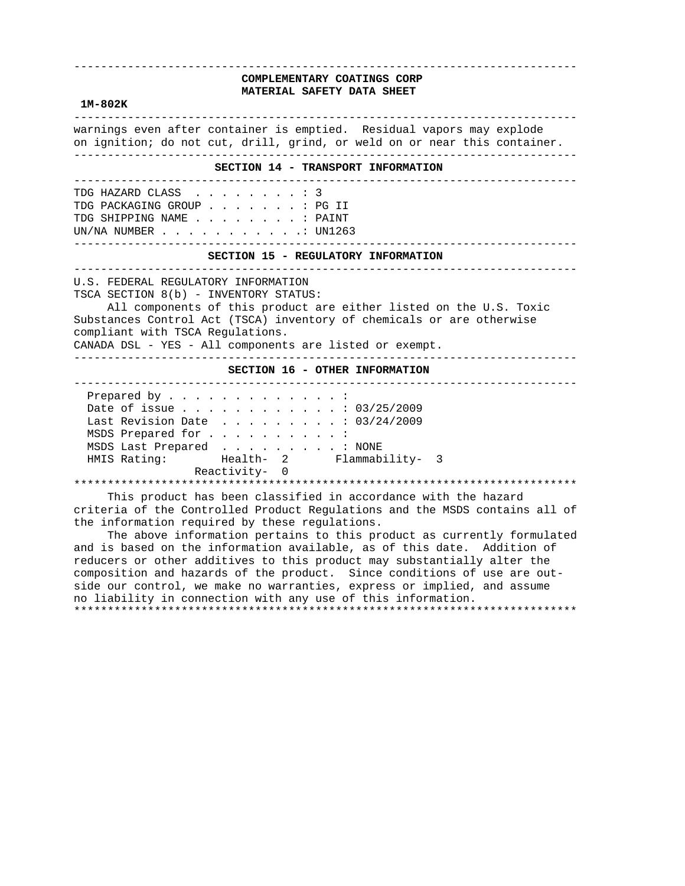#### **1M-802K**

 -------------------------------------------------------------------------- warnings even after container is emptied. Residual vapors may explode on ignition; do not cut, drill, grind, or weld on or near this container. ---------------------------------------------------------------------------  **SECTION 14 - TRANSPORT INFORMATION**  --------------------------------------------------------------------------- TDG HAZARD CLASS . . . . . . . . : 3 TDG PACKAGING GROUP . . . . . . . : PG II TDG SHIPPING NAME . . . . . . . . : PAINT UN/NA NUMBER . . . . . . . . . . .: UN1263 ---------------------------------------------------------------------------  **SECTION 15 - REGULATORY INFORMATION**  --------------------------------------------------------------------------- U.S. FEDERAL REGULATORY INFORMATION TSCA SECTION 8(b) - INVENTORY STATUS: All components of this product are either listed on the U.S. Toxic Substances Control Act (TSCA) inventory of chemicals or are otherwise compliant with TSCA Regulations. CANADA DSL - YES - All components are listed or exempt. ---------------------------------------------------------------------------  **SECTION 16 - OTHER INFORMATION**  --------------------------------------------------------------------------- Prepared by . . . . . . . . . . . . : Date of issue . . . . . . . . . . . . : 03/25/2009 Last Revision Date . . . . . . . . . : 03/24/2009 MSDS Prepared for . . . . . . . . . : MSDS Last Prepared . . . . . . . . . : NONE HMIS Rating: Health- 2 Flammability- 3 Reactivity- 0 \*\*\*\*\*\*\*\*\*\*\*\*\*\*\*\*\*\*\*\*\*\*\*\*\*\*\*\*\*\*\*\*\*\*\*\*\*\*\*\*\*\*\*\*\*\*\*\*\*\*\*\*\*\*\*\*\*\*\*\*\*\*\*\*\*\*\*\*\*\*\*\*\*\*\* This product has been classified in accordance with the hazard criteria of the Controlled Product Regulations and the MSDS contains all of the information required by these regulations. The above information pertains to this product as currently formulated

 and is based on the information available, as of this date. Addition of reducers or other additives to this product may substantially alter the composition and hazards of the product. Since conditions of use are out side our control, we make no warranties, express or implied, and assume no liability in connection with any use of this information. \*\*\*\*\*\*\*\*\*\*\*\*\*\*\*\*\*\*\*\*\*\*\*\*\*\*\*\*\*\*\*\*\*\*\*\*\*\*\*\*\*\*\*\*\*\*\*\*\*\*\*\*\*\*\*\*\*\*\*\*\*\*\*\*\*\*\*\*\*\*\*\*\*\*\*